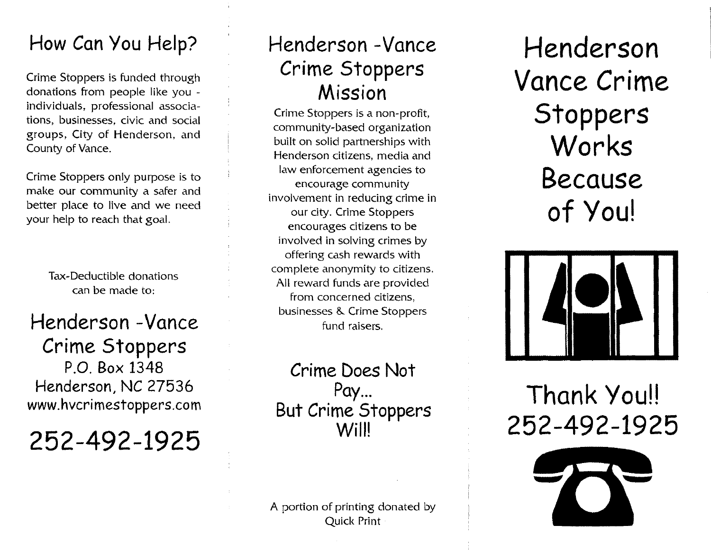### **How Can You Help? Henderson** *-Vance*

Crime Stoppers is funded through donations from people like you individuals, professional associations, businesses, civic and social groups, City of Henderson, and County of Vance.

Crime Stoppers only purpose is to make our community a safer and better place to live and we need your help to reach that goal.

> Tax-Deductible donations can be made to:

**Henderson -Vance Crime Stoppers P.O. Box 1348 Henderson, NC 27536 EXECUTE:** MENDETSON, NC 2/536<br>WWW.hvcrimestoppers.com **Rut Crime Stoppers** 

**252-492-1925**

## **Crime Stoppers Mission**

Crime Stoppers is a non-profit, community-based organization built on solid partnerships with Henderson citizens, media and law enforcement agencies to encourage community involvement in reducing crime in our city. Crime Stoppers encourages citizens to be involved in solving crimes by offering cash rewards with complete anonymity to citizens. All reward funds are provided from concerned citizens, businesses & Crime Stoppers fund raisers.

**Crime Does Not Pay... But Crime Stoppers WillI**

A portion of printing donated by Quick Print

**Henderson Vance Crime Stoppers Works Because of** Youl



# **252-492-1925**